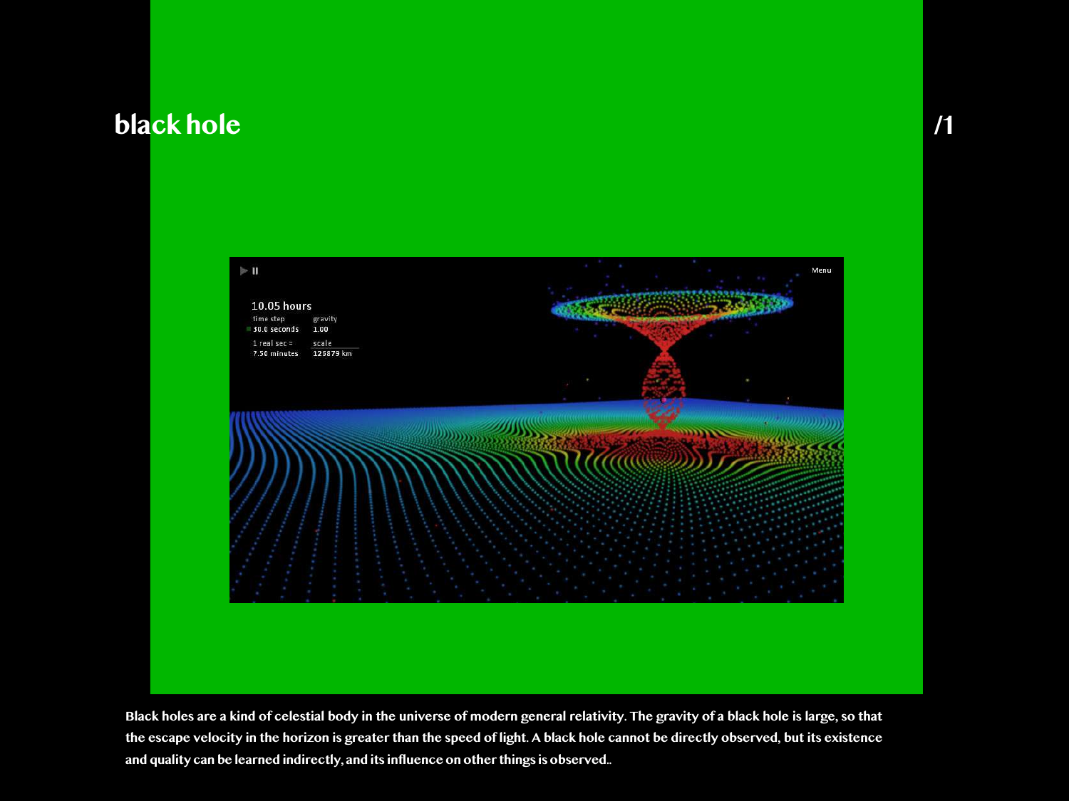### **black hole** */1 /1*



**Black holes are a kind of celestial body in the universe of modern general relativity. The gravity of a black hole is large, so that the escape velocity in the horizon is greater than the speed of light. A black hole cannot be directly observed, but its existence and quality can be learned indirectly, and its influence on other things is observed..**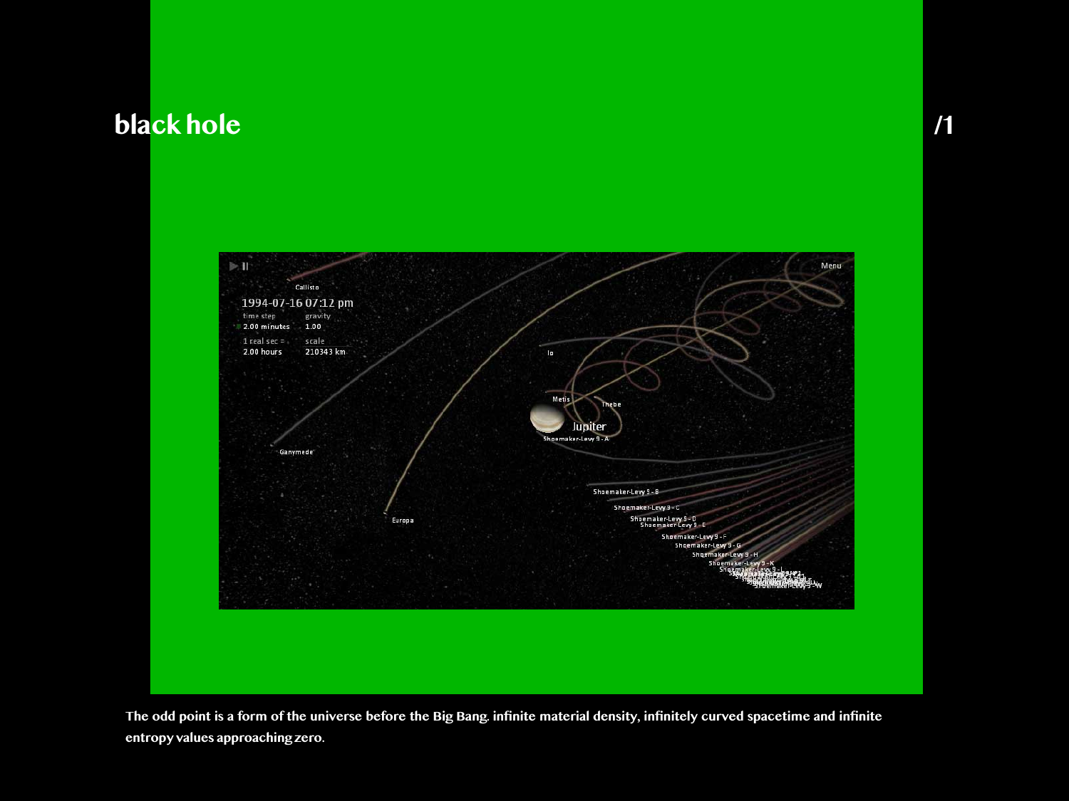## **black hole** *<i>black* **hole <b>***/1*





**The odd point is a form of the universe before the Big Bang. infinite material density, infinitely curved spacetime and infinite entropy values approaching zero.**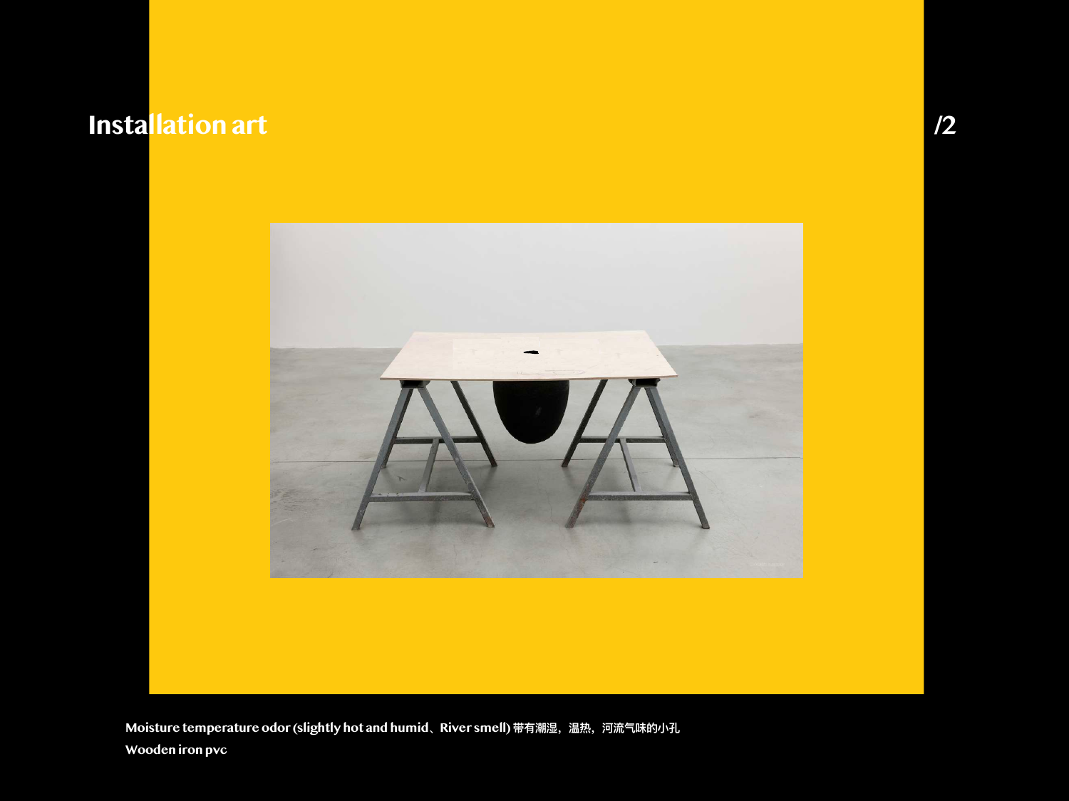# **Installation art** */2 /2*



**Moisture temperature odor (slightly hot and humid、River smell) 带有潮湿,温热,河流气味的小孔** 

**Wooden iron pvc**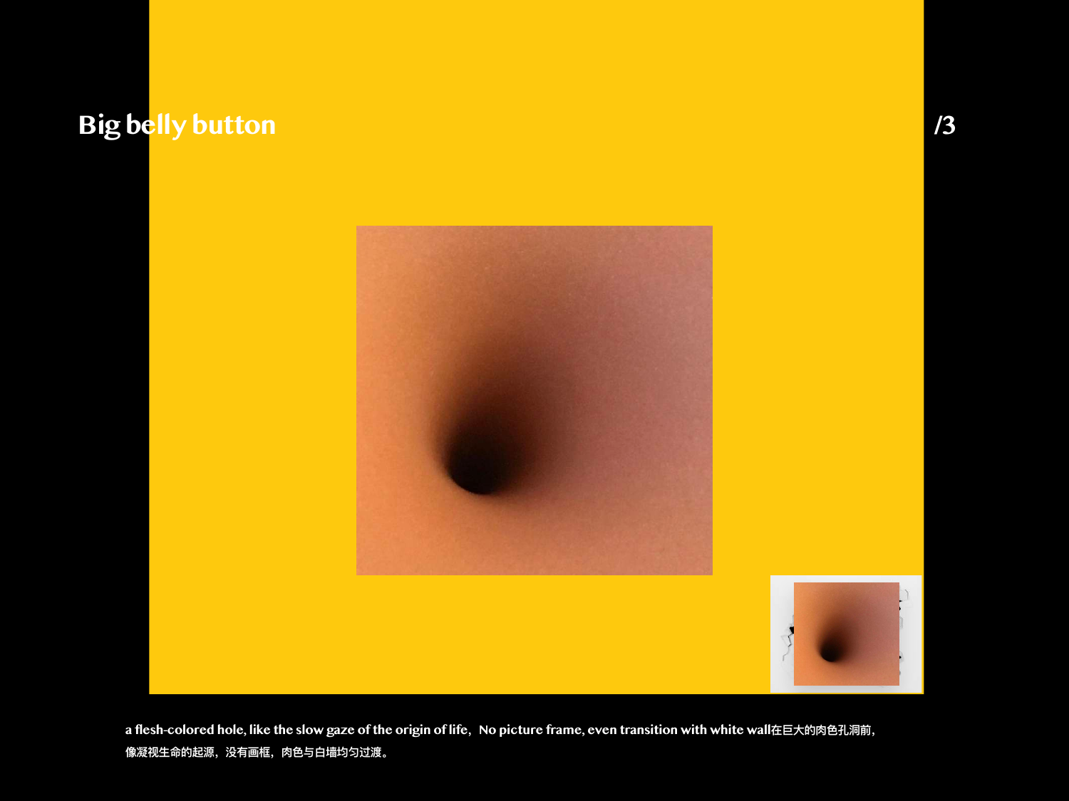# **Big belly button**



a flesh-colored hole, like the slow gaze of the origin of life, No picture frame, even transition with white wall在巨大的肉色孔洞前, 像凝视生命的起源, 没有画框, 肉色与白墙均匀过渡。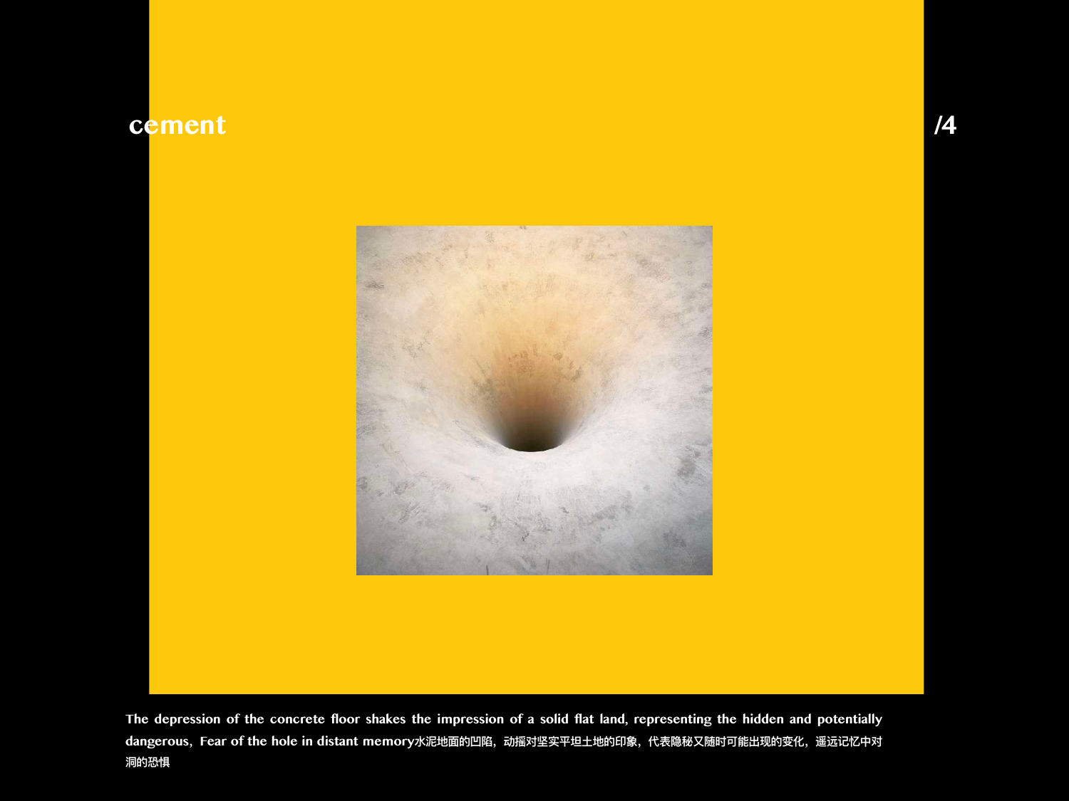#### cement



The depression of the concrete floor shakes the impression of a solid flat land, representing the hidden and potentially dangerous, Fear of the hole in distant memory水泥地面的凹陷, 动摇对坚实平坦土地的印象, 代表隐秘又随时可能出现的变化, 遥远记忆中对 洞的恐惧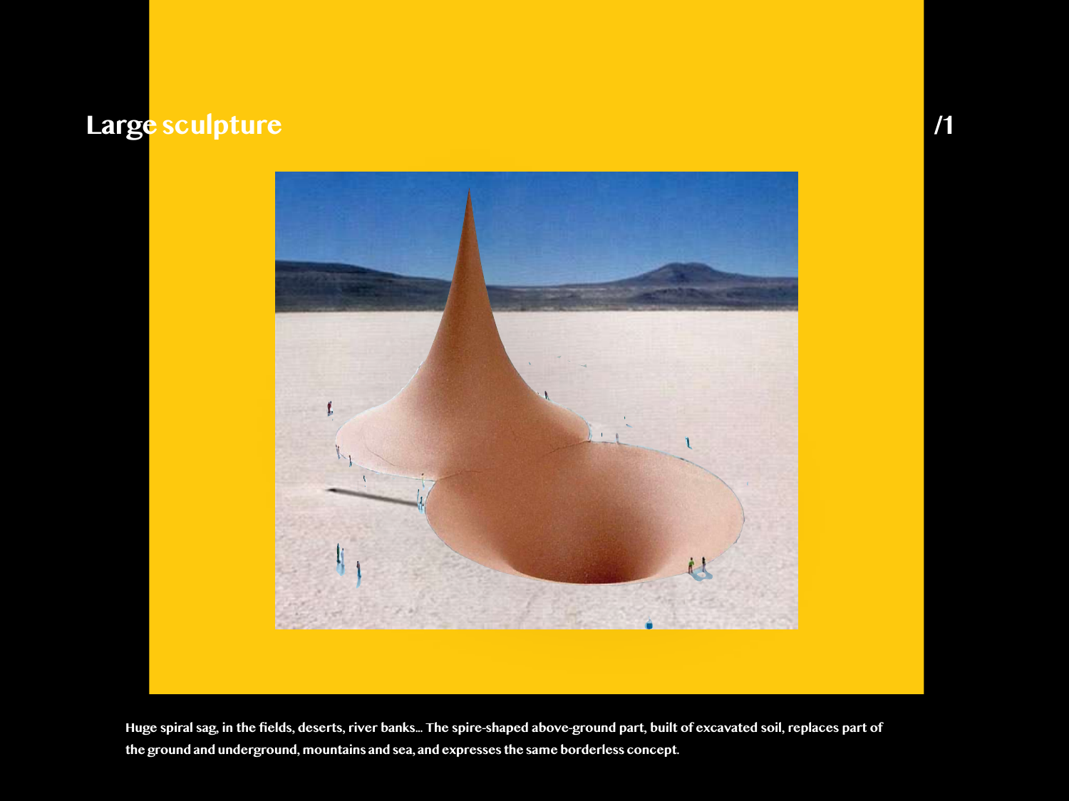# **Large sculpture** */1 /1*



**Huge spiral sag, in the fields, deserts, river banks... The spire-shaped above-ground part, built of excavated soil, replaces part of the ground and underground, mountains and sea, and expresses the same borderless concept.**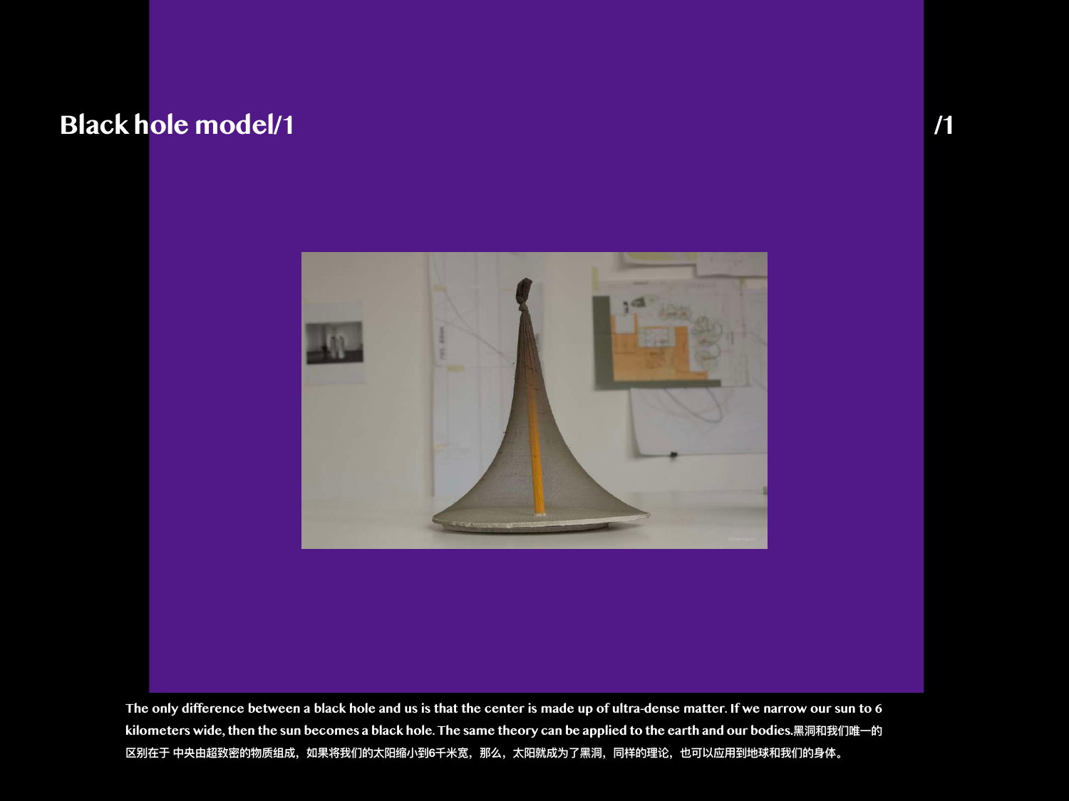### **Black hole model/1**



The only difference between a black hole and us is that the center is made up of ultra-dense matter. If we narrow our sun to 6 kilometers wide, then the sun becomes a black hole. The same theory can be applied to the earth and our bodies.黑洞和我们唯一的 区别在于 中央由超致密的物质组成,如果将我们的太阳缩小到6千米宽,那么,太阳就成为了黑洞,同样的理论,也可以应用到地球和我们的身体。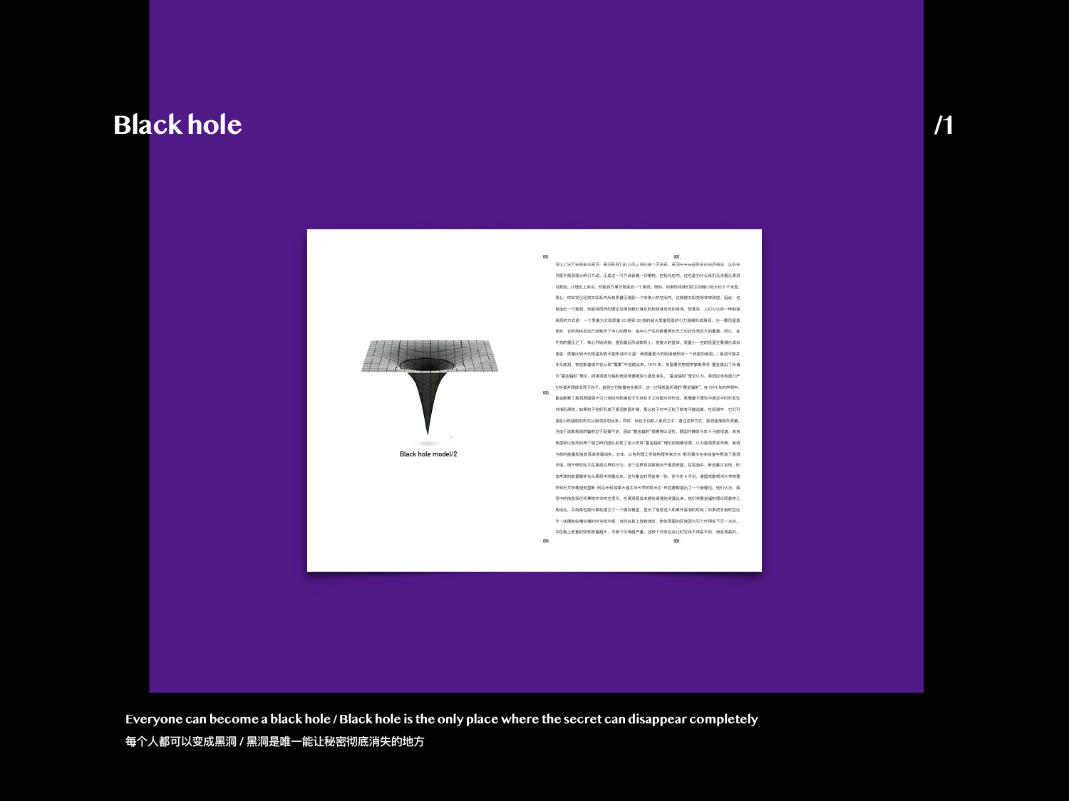### **Black hole** */1*



 $001$ .<br> 理论上说万物都能成黑洞:黑洞和我们的太阳之间的唯一区别是,黑洞中央由超致密的物质组成,这些物 质赋予黑洞强大的引力场。正是这一引力场吞噬一切事物,包括光在内,这也是为什么我们无法看见黑洞 的原因。从理论上来说,你能将万事万物变成一个黑洞。例如,如果你将我们的太阳缩小到大约 6 千米宽, 那么,你其实已经将太阳系内所有质量压缩到一个非常小的空间内,这就使太阳变得非常致密,因此,也 制造出一个黑洞。你能将同样的理论应用到我们身处的地球甚至你的身体。但其实,人们公认的一种制造 黑洞的方式是:一个质量为太阳质量 20 倍到 30 倍的超大质量恒星的引力塌缩形成黑洞。当一颗恒星衰 老时,它的热核反应已经耗尽了中心的燃料,由中心产生的能量再也无力对抗外壳巨大的重量。所以,在 外壳的重压之下,核心开始坍缩,直到最后形成体积小、密度大的星体。质量小一些的恒星主要演化成白 矮星:质量比较大的恒星则有可能形成中子星;而质量更大的则塌缩形成一个致密的黑洞、/黑洞可能并 非无底洞,有些能量或许会从其"魔掌"中逃脱出来。1974 年,英国著名物理学家斯蒂芬·霍金提出了所谓 的"霍金辐射"理论,即黑洞因为辐射而逐渐萎缩变小直至消失。"霍金辐射"理论认为,黑洞应该有能力产 生热量并释放亚原子粒子,直到它们能量完全耗尽,这一过程就是所谓的"霍金辐射"。在 1974 年的声明中, 霍金解释了黑洞周围强大引力场如何影响粒子与反粒子之间配对的形成。就像量子理论中真空中时时发生 的情形那样,如果粒子恰好形成于黑洞表面外侧,那么粒子对中正粒子就有可能逃离。在观测中,它们可 能是以热辐射的形式从黑洞发射出来。同时,反粒子则跌入黑洞之中。通过这种方式,黑洞逐渐损失质量。 但由于逃离黑洞的辐射过于捉摸不定,因此"霍金辐射"很难得以证实。据国外媒体今年 4 月底报道,来自 美国和以色列的两个独立研究团队发现了足以支持"霍金辐射"理论的明确证据,认为黑洞蒸发末期,黑洞 内部的能量和信息逐渐泄漏消失。去年,以色列理工学院物理学家杰夫·斯坦豪尔在实验室中再造了黑洞 环境,用于研究粒子在黑洞边界的行为。这个边界其实就相当于黑洞表面。在实验中,斯坦豪尔发现,形 成声波的能量确实会从黑洞中泄露出来。这与霍金的预言相一致。而今年 4 月份,美国密歇根州大学物理 学和天文学教授支里斯·阿达米和加拿大渥大华大学的凯米尔·布拉德勒提出了一个新理论,他们认为,里 洞中的信息和任何事物并非完全湮灭,在黑洞蒸发末期会缓慢地泄漏出来。他们将霍金辐射理论同数学工 具结合,采用高性能计算机建立了一个模拟模型,显示了信息进入和离开黑洞的时间 / 如果把宇宙时空比 作一块拥有纵横交错的时空线木板,当你在其上放物体时,物体周围的区域因为引力作用会下沉一点点。 你在板上放置的物体质量越大,木板下沉得越严重。这种下沉效应会让时空线不再是平的,而是弯曲的。 004. 005.

003.

**Everyone can become a black hole / Black hole is the only place where the secret can disappear completely** 每个人都可以变成黑洞 / 黑洞是唯一能让秘密彻底消失的地方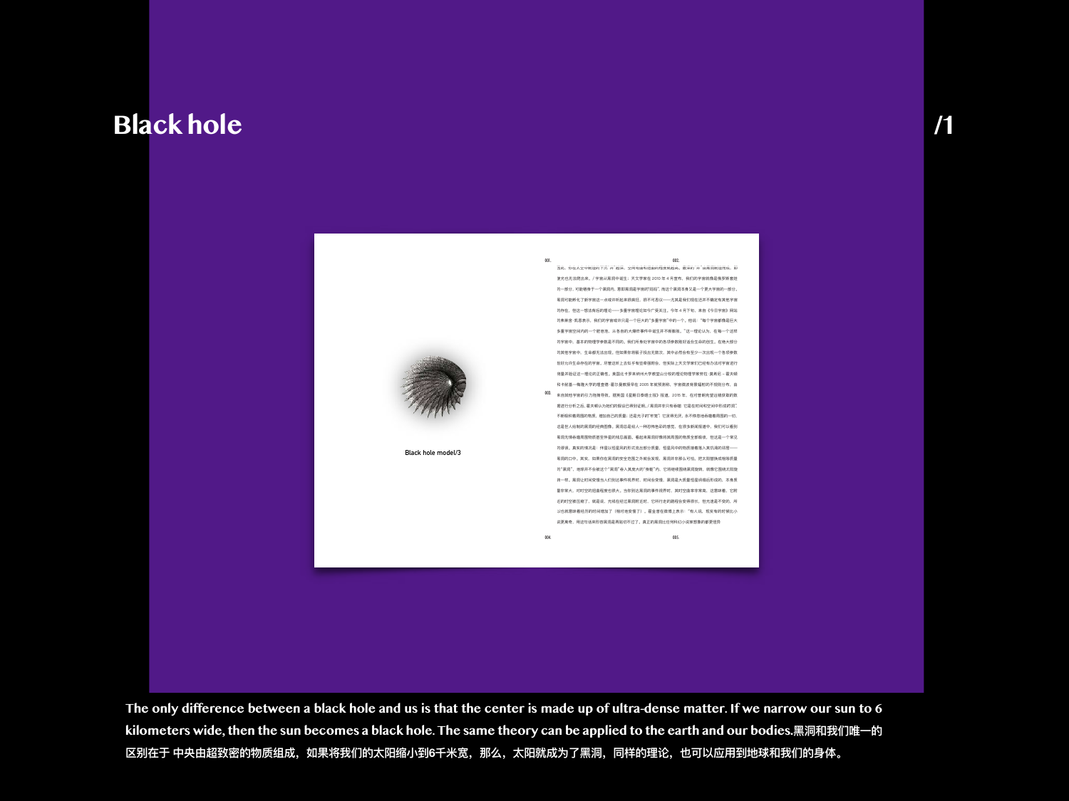#### **Black hole** */1*



因此,你在太空中制造的下沉"井"越深,空间弯曲和扭曲的程度就越高。最深的"井"由黑洞制造而成,即 使光也无法爬出来。/ 宇宙从黑洞中诞生;天文学家在 2010 年 4 月宣布,我们的宇宙就像是俄罗斯套娃 的一部分,可能栖身于一个黑洞内,意即黑洞是宇宙的"妈妈",而这个黑洞本身又是一个更大宇宙的一部分。 黑洞可能孵化了新宇宙这一点或许听起来很疯狂,很不可思议——尤其是我们现在还并不确定有其他宇宙 的存在,但这一想法背后的理论——多重宇宙理论如今广受关注。今年 4 月下旬,来自《今日宇宙》网站 的弗莱舍·凯恩表示,我们的宇宙或许只是一个巨大的"多重宇宙"中的一个。他说:"每个宇宙都像是巨大 多重宇宙空间内的一个肥皂泡,从各自的大爆炸事件中诞生并不断膨胀。"这一理论认为,在每一个这样 的宇宙中,基本的物理学參数是不同的。我们所身处宇宙中的各项參数刚好适合生命的创生。在绝大部分 的其他宇宙中,生命都无法出现。但如果你将骰子投出无数次,其中必然会有至少一次出现一个各项参数<br>———————————————————— 恰好允许生命存在的宇宙。尽管这听上去似乎有些牵强附会,但实际上天文学家们已经有办法对宇宙进行<br>———————————————————— 测量并验证这一理论的正确性。美国北卡罗来纳州大学教堂山分校的理论物理学家劳拉·莫希尼 – 霍夫顿<br>———————————————————— 和卡耐基一梅隆大学的理查德·霍尔曼教授早在 2005 年就预测称,字宙微波背景辐射的不规则分布,由<br>· 003. 来自其他宇宙的引力拖拽导致。据英国《星期日泰晤士报》报道,2015 年,在对普朗克望远镜获取的数 据进行分析之后,霍夫顿认为她们的假设已得到证明。/ 黑洞并非只有吞噬 它是在时间和空间中形成的'洞'',<br>———————————————————— 不断吸积着周围的物质,增加自己的质量;还是光子的"牢笼",它贪得无厌,永不停息地吞噬着周围的一切,<br>———————————————————— 这是世人绘制的黑洞的经典图像。黑洞总是给人一种恐怖色彩的感觉,在很多新闻报道中,我们可以看到<br>· 的谬误。真实的情况是:伴星以恒星风的形式流出部分质量,恒星风中的物质接着落入其饥渴的邻居—— <sub>黑洞的口中。</sub>其实,如果你在黑洞的安全范围之外就会发现,黑洞并非那么可怕。把太阳替换成相等质量 的"黑洞",地球并不会被这个"黑洞"吞入其庞大的"身躯"内,它将继续围绕黑洞旋转,就像它围绕太阳旋 转一样。黑洞让时间变慢当人们到达事件视界时,时间会变慢,黑洞是大质量恒星坍塌后形成的,本身质 量非常大,对时空的扭曲程度也很大。当你到达黑洞的事件视界时,其时空曲率非常高,这意味着,它附 ,<br>近的时空被压缩了,就是说,光线在经过黑洞附近时,它所行走的路程会变得很长,但光速是不变的,所 以也就意味着经历的时间增加了(相对地变慢了)。霍金曾在微博上表示:"有人说,现实有的时候比小 说更离奇,用这句话来形容黑洞是再贴切不过了。真正的黑洞比任何科幻小说家想象的都更怪异 001. 002. 因此,你在太空中制造的下沉"并"越深,空间弯曲和扭曲的程度就越高,最深的"并"由黑洞制造而成,即<br>使光也无法爬出来,/宇宙从黑洞中诞生;天文学家在 2010 年 4 月宣布,我们的宇宙就像是俄罗斯套娃<br>的一部分,可能栖身于一个黑洞内,意即黑洞是宇宙的"妈妈",而这个黑洞本身又是一个更大宇宙的一部分。<br>黑洞可能孵化了新宇宙这一点或许听起来很疯狂,很不可思议──一尤其是我们现在还并不确定有其他宇宙 黑洞无情吞噬周围物质甚至佯星的残忍画面。看起来黑洞好像将其周围的物质全部吸收,但这是一个常见

004. 005.

**The only difference between a black hole and us is that the center is made up of ultra-dense matter. If we narrow our sun to 6 kilometers wide, then the sun becomes a black hole. The same theory can be applied to the earth and our bodies.黑洞和我们唯一的** 区别在于 中央由超致密的物质组成,如果将我们的太阳缩小到6千米宽,那么,太阳就成为了黑洞,同样的理论,也可以应用到地球和我们的身体。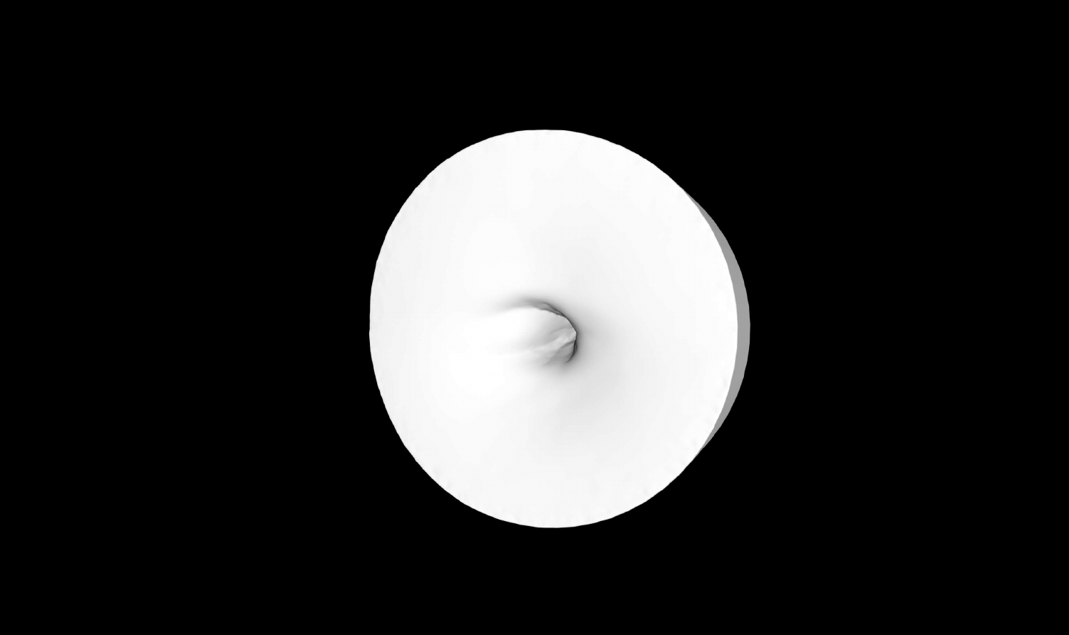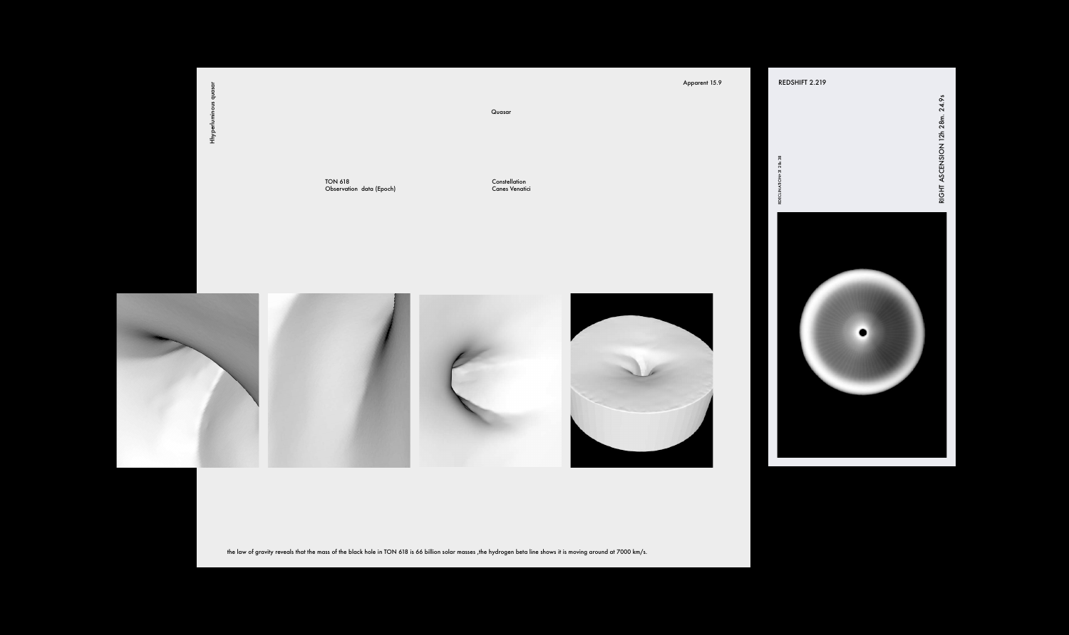TON 618 Observation data (Epoch)

Constellation Canes Venatici

Quasar





Hhyperluminous quasar $rac{5}{9}$ Hhyperluminous

the law of gravity reveals that the mass of the black hole in TON 618 is 66 billion solar masses ,the hydrogen beta line shows it is moving around at 7000 km/s.



Apparent 15.9 REDSHIFT 2.219 RIGHT ASCENSION 12h 28m. 24.9s RIGHT ASCENSION 12h 28m. 24.9s INATION+31 28s 38 RDECLINATION+31 28s 38 **RDECL**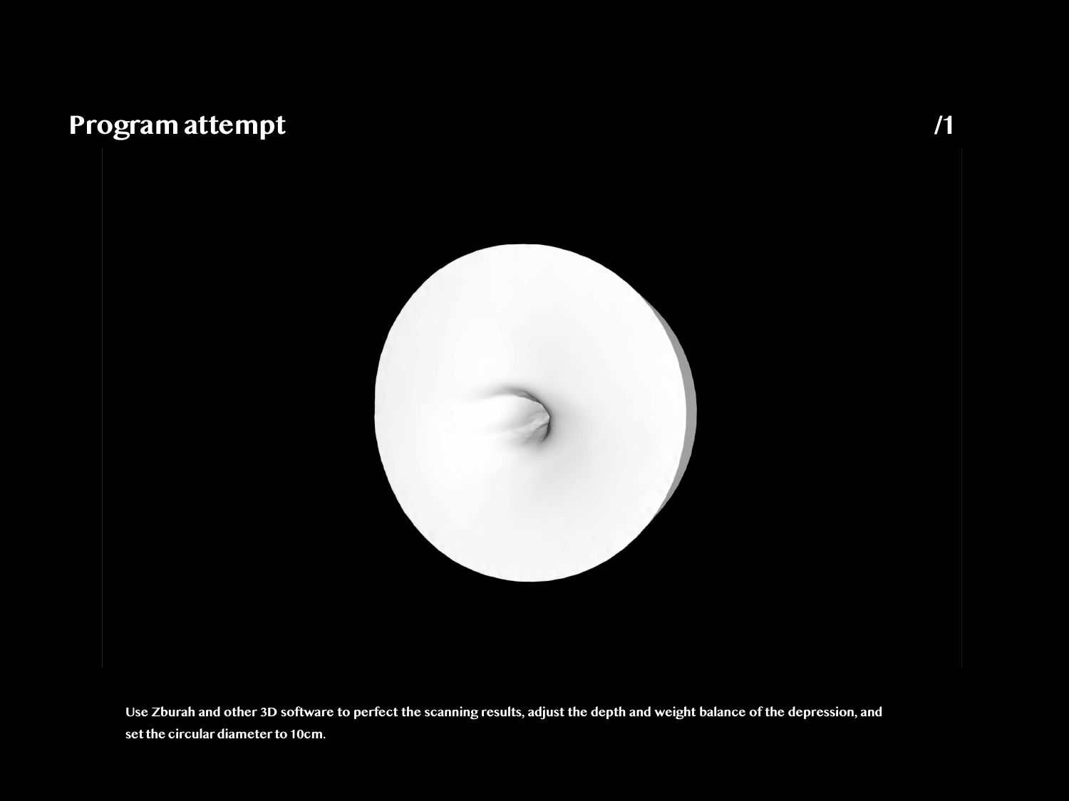#### **Program attempt**



**Use Zburah and other 3D software to perfect the scanning results, adjust the depth and weight balance of the depression, and set the circular diameter to 10cm.**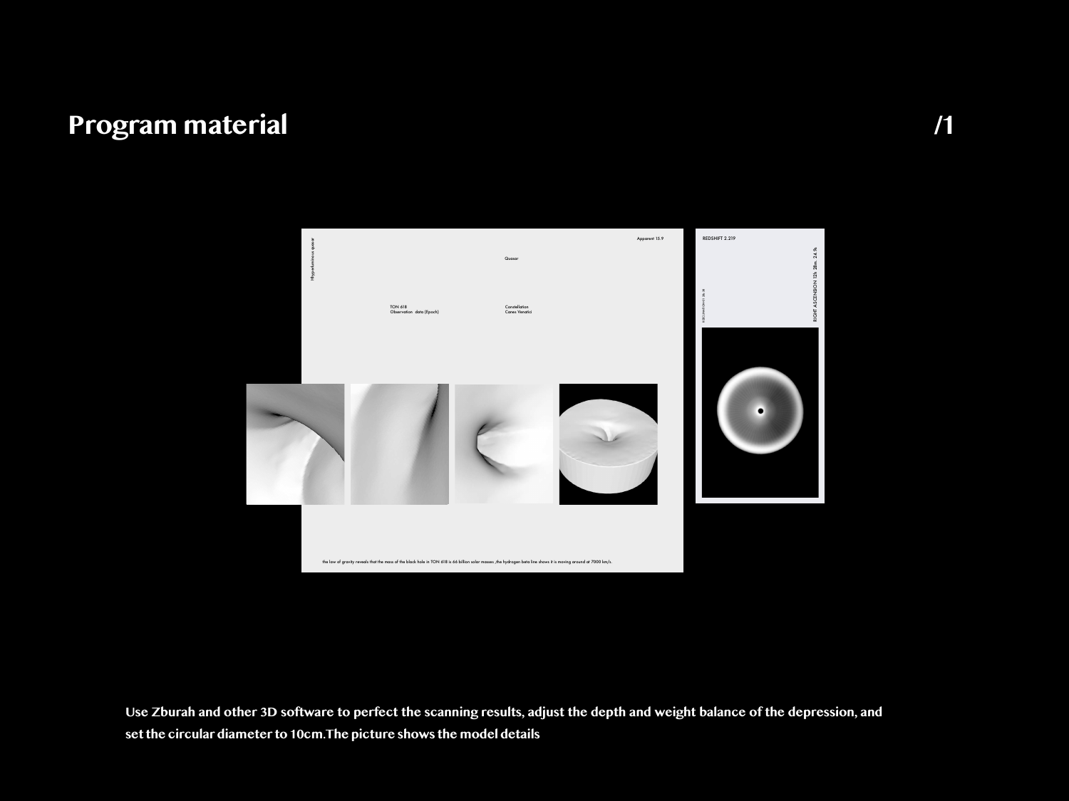#### **Program material /1**



**Use Zburah and other 3D software to perfect the scanning results, adjust the depth and weight balance of the depression, and set the circular diameter to 10cm.The picture shows the model details**